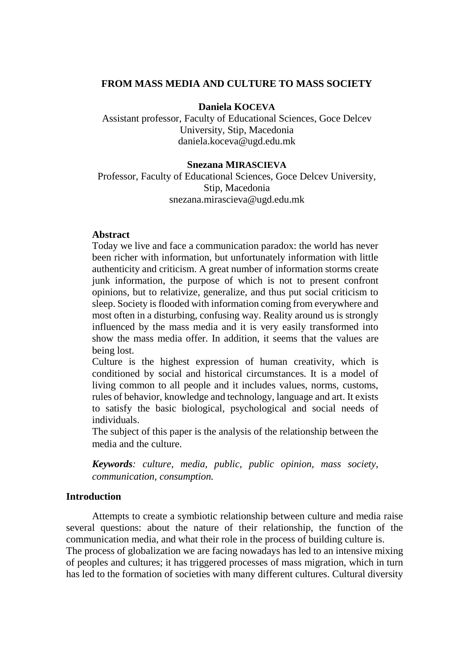# **FROM MASS MEDIA AND CULTURE TO MASS SOCIETY**

#### **Daniela KOCEVA**

Assistant professor, Faculty of Educational Sciences, Goce Delcev University, Stip, Macedonia daniela.koceva@ugd.edu.mk

#### **Snezana MIRASCIEVA**

Professor, Faculty of Educational Sciences, Goce Delcev University, Stip, Macedonia snezana.mirascieva@ugd.edu.mk

### **Abstract**

Today we live and face a communication paradox: the world has never been richer with information, but unfortunately information with little authenticity and criticism. A great number of information storms create junk information, the purpose of which is not to present confront opinions, but to relativize, generalize, and thus put social criticism to sleep. Society is flooded with information coming from everywhere and most often in a disturbing, confusing way. Reality around us is strongly influenced by the mass media and it is very easily transformed into show the mass media offer. In addition, it seems that the values are being lost.

Culture is the highest expression of human creativity, which is conditioned by social and historical circumstances. It is a model of living common to all people and it includes values, norms, customs, rules of behavior, knowledge and technology, language and art. It exists to satisfy the basic biological, psychological and social needs of individuals.

The subject of this paper is the analysis of the relationship between the media and the culture.

*Keywords: culture, media, public, public opinion, mass society, communication, consumption.*

### **Introduction**

Attempts to create a symbiotic relationship between culture and media raise several questions: about the nature of their relationship, the function of the communication media, and what their role in the process of building culture is. The process of globalization we are facing nowadays has led to an intensive mixing of peoples and cultures; it has triggered processes of mass migration, which in turn has led to the formation of societies with many different cultures. Cultural diversity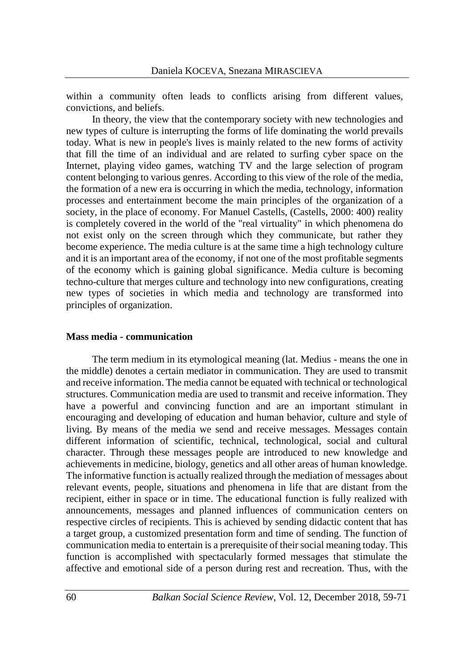within a community often leads to conflicts arising from different values, convictions, and beliefs.

In theory, the view that the contemporary society with new technologies and new types of culture is interrupting the forms of life dominating the world prevails today. What is new in people's lives is mainly related to the new forms of activity that fill the time of an individual and are related to surfing cyber space on the Internet, playing video games, watching TV and the large selection of program content belonging to various genres. According to this view of the role of the media, the formation of a new era is occurring in which the media, technology, information processes and entertainment become the main principles of the organization of a society, in the place of economy. For Manuel Castells, (Castells, 2000: 400) reality is completely covered in the world of the "real virtuality" in which phenomena do not exist only on the screen through which they communicate, but rather they become experience. The media culture is at the same time a high technology culture and it is an important area of the economy, if not one of the most profitable segments of the economy which is gaining global significance. Media culture is becoming techno-culture that merges culture and technology into new configurations, creating new types of societies in which media and technology are transformed into principles of organization.

#### **Mass media - communication**

The term medium in its etymological meaning (lat. Medius - means the one in the middle) denotes a certain mediator in communication. They are used to transmit and receive information. The media cannot be equated with technical or technological structures. Communication media are used to transmit and receive information. They have a powerful and convincing function and are an important stimulant in encouraging and developing of education and human behavior, culture and style of living. By means of the media we send and receive messages. Messages contain different information of scientific, technical, technological, social and cultural character. Through these messages people are introduced to new knowledge and achievements in medicine, biology, genetics and all other areas of human knowledge. The informative function is actually realized through the mediation of messages about relevant events, people, situations and phenomena in life that are distant from the recipient, either in space or in time. The educational function is fully realized with announcements, messages and planned influences of communication centers on respective circles of recipients. This is achieved by sending didactic content that has a target group, a customized presentation form and time of sending. The function of communication media to entertain is a prerequisite of their social meaning today. This function is accomplished with spectacularly formed messages that stimulate the affective and emotional side of a person during rest and recreation. Thus, with the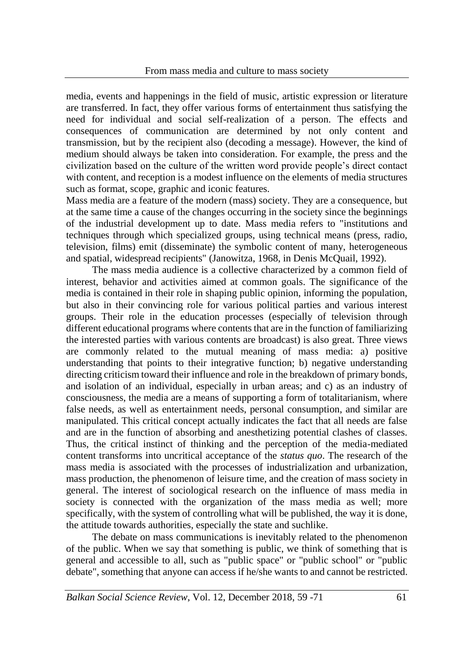media, events and happenings in the field of music, artistic expression or literature are transferred. In fact, they offer various forms of entertainment thus satisfying the need for individual and social self-realization of a person. The effects and consequences of communication are determined by not only content and transmission, but by the recipient also (decoding a message). However, the kind of medium should always be taken into consideration. For example, the press and the civilization based on the culture of the written word provide people's direct contact with content, and reception is a modest influence on the elements of media structures such as format, scope, graphic and iconic features.

Mass media are a feature of the modern (mass) society. They are a consequence, but at the same time a cause of the changes occurring in the society since the beginnings of the industrial development up to date. Mass media refers to "institutions and techniques through which specialized groups, using technical means (press, radio, television, films) emit (disseminate) the symbolic content of many, heterogeneous and spatial, widespread recipients" (Janowitza, 1968, in Denis McQuail, 1992).

The mass media audience is a collective characterized by a common field of interest, behavior and activities aimed at common goals. The significance of the media is contained in their role in shaping public opinion, informing the population, but also in their convincing role for various political parties and various interest groups. Their role in the education processes (especially of television through different educational programs where contents that are in the function of familiarizing the interested parties with various contents are broadcast) is also great. Three views are commonly related to the mutual meaning of mass media: a) positive understanding that points to their integrative function; b) negative understanding directing criticism toward their influence and role in the breakdown of primary bonds, and isolation of an individual, especially in urban areas; and c) as an industry of consciousness, the media are a means of supporting a form of totalitarianism, where false needs, as well as entertainment needs, personal consumption, and similar are manipulated. This critical concept actually indicates the fact that all needs are false and are in the function of absorbing and anesthetizing potential clashes of classes. Thus, the critical instinct of thinking and the perception of the media-mediated content transforms into uncritical acceptance of the *status quo*. The research of the mass media is associated with the processes of industrialization and urbanization, mass production, the phenomenon of leisure time, and the creation of mass society in general. The interest of sociological research on the influence of mass media in society is connected with the organization of the mass media as well; more specifically, with the system of controlling what will be published, the way it is done, the attitude towards authorities, especially the state and suchlike.

The debate on mass communications is inevitably related to the phenomenon of the public. When we say that something is public, we think of something that is general and accessible to all, such as "public space" or "public school" or "public debate", something that anyone can access if he/she wants to and cannot be restricted.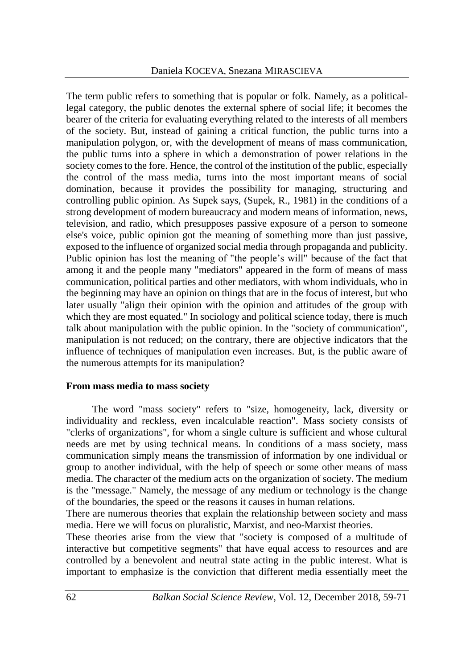The term public refers to something that is popular or folk. Namely, as a politicallegal category, the public denotes the external sphere of social life; it becomes the bearer of the criteria for evaluating everything related to the interests of all members of the society. But, instead of gaining a critical function, the public turns into a manipulation polygon, or, with the development of means of mass communication, the public turns into a sphere in which a demonstration of power relations in the society comes to the fore. Hence, the control of the institution of the public, especially the control of the mass media, turns into the most important means of social domination, because it provides the possibility for managing, structuring and controlling public opinion. As Supek says, (Supek, R., 1981) in the conditions of a strong development of modern bureaucracy and modern means of information, news, television, and radio, which presupposes passive exposure of a person to someone else's voice, public opinion got the meaning of something more than just passive, exposed to the influence of organized social media through propaganda and publicity. Public opinion has lost the meaning of "the people's will" because of the fact that among it and the people many "mediators" appeared in the form of means of mass communication, political parties and other mediators, with whom individuals, who in the beginning may have an opinion on things that are in the focus of interest, but who later usually "align their opinion with the opinion and attitudes of the group with which they are most equated." In sociology and political science today, there is much talk about manipulation with the public opinion. In the "society of communication", manipulation is not reduced; on the contrary, there are objective indicators that the influence of techniques of manipulation even increases. But, is the public aware of the numerous attempts for its manipulation?

# **From mass media to mass society**

The word "mass society" refers to "size, homogeneity, lack, diversity or individuality and reckless, even incalculable reaction". Mass society consists of "clerks of organizations", for whom a single culture is sufficient and whose cultural needs are met by using technical means. In conditions of a mass society, mass communication simply means the transmission of information by one individual or group to another individual, with the help of speech or some other means of mass media. The character of the medium acts on the organization of society. The medium is the "message." Namely, the message of any medium or technology is the change of the boundaries, the speed or the reasons it causes in human relations.

There are numerous theories that explain the relationship between society and mass media. Here we will focus on pluralistic, Marxist, and neo-Marxist theories.

These theories arise from the view that "society is composed of a multitude of interactive but competitive segments" that have equal access to resources and are controlled by a benevolent and neutral state acting in the public interest. What is important to emphasize is the conviction that different media essentially meet the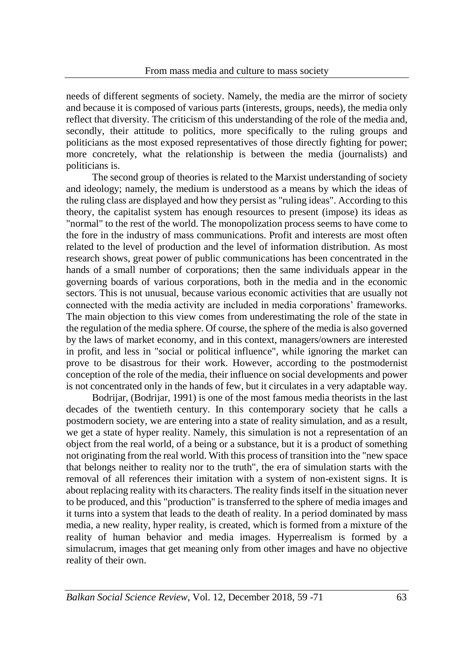needs of different segments of society. Namely, the media are the mirror of society and because it is composed of various parts (interests, groups, needs), the media only reflect that diversity. The criticism of this understanding of the role of the media and, secondly, their attitude to politics, more specifically to the ruling groups and politicians as the most exposed representatives of those directly fighting for power; more concretely, what the relationship is between the media (journalists) and politicians is.

The second group of theories is related to the Marxist understanding of society and ideology; namely, the medium is understood as a means by which the ideas of the ruling class are displayed and how they persist as "ruling ideas". According to this theory, the capitalist system has enough resources to present (impose) its ideas as "normal" to the rest of the world. The monopolization process seems to have come to the fore in the industry of mass communications. Profit and interests are most often related to the level of production and the level of information distribution. As most research shows, great power of public communications has been concentrated in the hands of a small number of corporations; then the same individuals appear in the governing boards of various corporations, both in the media and in the economic sectors. This is not unusual, because various economic activities that are usually not connected with the media activity are included in media corporations' frameworks. The main objection to this view comes from underestimating the role of the state in the regulation of the media sphere. Of course, the sphere of the media is also governed by the laws of market economy, and in this context, managers/owners are interested in profit, and less in "social or political influence", while ignoring the market can prove to be disastrous for their work. However, according to the postmodernist conception of the role of the media, their influence on social developments and power is not concentrated only in the hands of few, but it circulates in a very adaptable way.

Bodrijar, (Bodrijar, 1991) is one of the most famous media theorists in the last decades of the twentieth century. In this contemporary society that he calls a postmodern society, we are entering into a state of reality simulation, and as a result, we get a state of hyper reality. Namely, this simulation is not a representation of an object from the real world, of a being or a substance, but it is a product of something not originating from the real world. With this process of transition into the "new space that belongs neither to reality nor to the truth", the era of simulation starts with the removal of all references their imitation with a system of non-existent signs. It is about replacing reality with its characters. The reality finds itself in the situation never to be produced, and this "production" is transferred to the sphere of media images and it turns into a system that leads to the death of reality. In a period dominated by mass media, a new reality, hyper reality, is created, which is formed from a mixture of the reality of human behavior and media images. Hyperrealism is formed by a simulacrum, images that get meaning only from other images and have no objective reality of their own.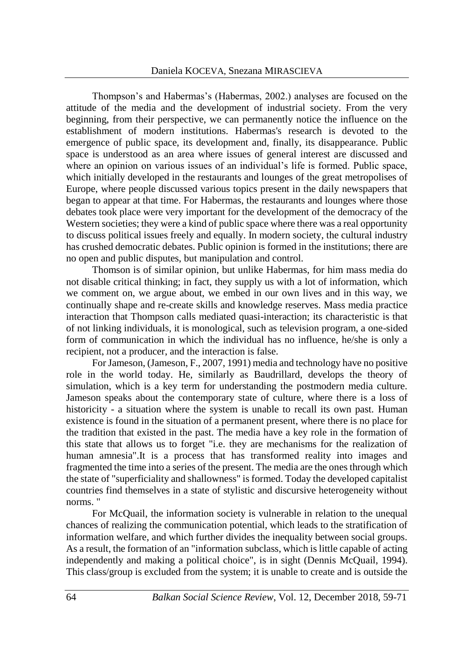Thompson's and Habermas's (Habermas, 2002.) analyses are focused on the attitude of the media and the development of industrial society. From the very beginning, from their perspective, we can permanently notice the influence on the establishment of modern institutions. Habermas's research is devoted to the emergence of public space, its development and, finally, its disappearance. Public space is understood as an area where issues of general interest are discussed and where an opinion on various issues of an individual's life is formed. Public space, which initially developed in the restaurants and lounges of the great metropolises of Europe, where people discussed various topics present in the daily newspapers that began to appear at that time. For Habermas, the restaurants and lounges where those debates took place were very important for the development of the democracy of the Western societies; they were a kind of public space where there was a real opportunity to discuss political issues freely and equally. In modern society, the cultural industry has crushed democratic debates. Public opinion is formed in the institutions; there are no open and public disputes, but manipulation and control.

Thomson is of similar opinion, but unlike Habermas, for him mass media do not disable critical thinking; in fact, they supply us with a lot of information, which we comment on, we argue about, we embed in our own lives and in this way, we continually shape and re-create skills and knowledge reserves. Mass media practice interaction that Thompson calls mediated quasi-interaction; its characteristic is that of not linking individuals, it is monological, such as television program, a one-sided form of communication in which the individual has no influence, he/she is only a recipient, not a producer, and the interaction is false.

For Jameson, (Jameson, F., 2007, 1991) media and technology have no positive role in the world today. He, similarly as Baudrillard, develops the theory of simulation, which is a key term for understanding the postmodern media culture. Jameson speaks about the contemporary state of culture, where there is a loss of historicity - a situation where the system is unable to recall its own past. Human existence is found in the situation of a permanent present, where there is no place for the tradition that existed in the past. The media have a key role in the formation of this state that allows us to forget "i.e. they are mechanisms for the realization of human amnesia".It is a process that has transformed reality into images and fragmented the time into a series of the present. The media are the ones through which the state of "superficiality and shallowness" is formed. Today the developed capitalist countries find themselves in a state of stylistic and discursive heterogeneity without norms. "

For McQuail, the information society is vulnerable in relation to the unequal chances of realizing the communication potential, which leads to the stratification of information welfare, and which further divides the inequality between social groups. As a result, the formation of an "information subclass, which is little capable of acting independently and making a political choice", is in sight (Dennis McQuail, 1994). This class/group is excluded from the system; it is unable to create and is outside the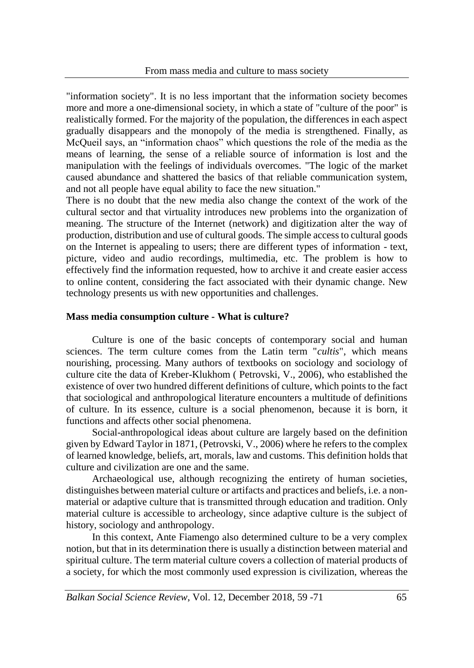"information society". It is no less important that the information society becomes more and more a one-dimensional society, in which a state of "culture of the poor" is realistically formed. For the majority of the population, the differences in each aspect gradually disappears and the monopoly of the media is strengthened. Finally, as McQueil says, an "information chaos" which questions the role of the media as the means of learning, the sense of a reliable source of information is lost and the manipulation with the feelings of individuals overcomes. "The logic of the market caused abundance and shattered the basics of that reliable communication system, and not all people have equal ability to face the new situation."

There is no doubt that the new media also change the context of the work of the cultural sector and that virtuality introduces new problems into the organization of meaning. The structure of the Internet (network) and digitization alter the way of production, distribution and use of cultural goods. The simple access to cultural goods on the Internet is appealing to users; there are different types of information - text, picture, video and audio recordings, multimedia, etc. The problem is how to effectively find the information requested, how to archive it and create easier access to online content, considering the fact associated with their dynamic change. New technology presents us with new opportunities and challenges.

# **Mass media consumption culture - What is culture?**

Culture is one of the basic concepts of contemporary social and human sciences. The term culture comes from the Latin term "*cultis*", which means nourishing, processing. Many authors of textbooks on sociology and sociology of culture cite the data of Kreber-Klukhom ( Petrovski, V., 2006), who established the existence of over two hundred different definitions of culture, which points to the fact that sociological and anthropological literature encounters a multitude of definitions of culture. In its essence, culture is a social phenomenon, because it is born, it functions and affects other social phenomena.

Social-anthropological ideas about culture are largely based on the definition given by Edward Taylor in 1871, (Petrovski, V., 2006) where he refers to the complex of learned knowledge, beliefs, art, morals, law and customs. This definition holds that culture and civilization are one and the same.

Archaeological use, although recognizing the entirety of human societies, distinguishes between material culture or artifacts and practices and beliefs, i.e. a nonmaterial or adaptive culture that is transmitted through education and tradition. Only material culture is accessible to archeology, since adaptive culture is the subject of history, sociology and anthropology.

In this context, Ante Fiamengo also determined culture to be a very complex notion, but that in its determination there is usually a distinction between material and spiritual culture. The term material culture covers a collection of material products of a society, for which the most commonly used expression is civilization, whereas the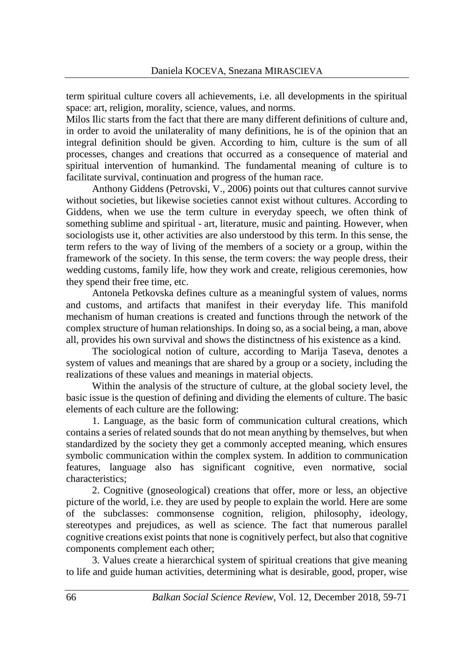term spiritual culture covers all achievements, i.e. all developments in the spiritual space: art, religion, morality, science, values, and norms.

Milos Ilic starts from the fact that there are many different definitions of culture and, in order to avoid the unilaterality of many definitions, he is of the opinion that an integral definition should be given. According to him, culture is the sum of all processes, changes and creations that occurred as a consequence of material and spiritual intervention of humankind. The fundamental meaning of culture is to facilitate survival, continuation and progress of the human race.

Anthony Giddens (Petrovski, V., 2006) points out that cultures cannot survive without societies, but likewise societies cannot exist without cultures. According to Giddens, when we use the term culture in everyday speech, we often think of something sublime and spiritual - art, literature, music and painting. However, when sociologists use it, other activities are also understood by this term. In this sense, the term refers to the way of living of the members of a society or a group, within the framework of the society. In this sense, the term covers: the way people dress, their wedding customs, family life, how they work and create, religious ceremonies, how they spend their free time, etc.

Antonela Petkovska defines culture as a meaningful system of values, norms and customs, and artifacts that manifest in their everyday life. This manifold mechanism of human creations is created and functions through the network of the complex structure of human relationships. In doing so, as a social being, a man, above all, provides his own survival and shows the distinctness of his existence as a kind.

The sociological notion of culture, according to Marija Taseva, denotes a system of values and meanings that are shared by a group or a society, including the realizations of these values and meanings in material objects.

Within the analysis of the structure of culture, at the global society level, the basic issue is the question of defining and dividing the elements of culture. The basic elements of each culture are the following:

1. Language, as the basic form of communication cultural creations, which contains a series of related sounds that do not mean anything by themselves, but when standardized by the society they get a commonly accepted meaning, which ensures symbolic communication within the complex system. In addition to communication features, language also has significant cognitive, even normative, social characteristics;

2. Cognitive (gnoseological) creations that offer, more or less, an objective picture of the world, i.e. they are used by people to explain the world. Here are some of the subclasses: commonsense cognition, religion, philosophy, ideology, stereotypes and prejudices, as well as science. The fact that numerous parallel cognitive creations exist points that none is cognitively perfect, but also that cognitive components complement each other;

3. Values create a hierarchical system of spiritual creations that give meaning to life and guide human activities, determining what is desirable, good, proper, wise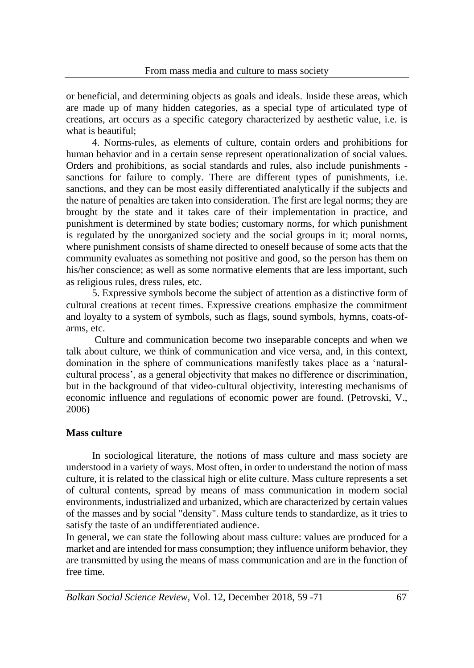or beneficial, and determining objects as goals and ideals. Inside these areas, which are made up of many hidden categories, as a special type of articulated type of creations, art occurs as a specific category characterized by aesthetic value, i.e. is what is beautiful;

4. Norms-rules, as elements of culture, contain orders and prohibitions for human behavior and in a certain sense represent operationalization of social values. Orders and prohibitions, as social standards and rules, also include punishments sanctions for failure to comply. There are different types of punishments, i.e. sanctions, and they can be most easily differentiated analytically if the subjects and the nature of penalties are taken into consideration. The first are legal norms; they are brought by the state and it takes care of their implementation in practice, and punishment is determined by state bodies; customary norms, for which punishment is regulated by the unorganized society and the social groups in it; moral norms, where punishment consists of shame directed to oneself because of some acts that the community evaluates as something not positive and good, so the person has them on his/her conscience; as well as some normative elements that are less important, such as religious rules, dress rules, etc.

5. Expressive symbols become the subject of attention as a distinctive form of cultural creations at recent times. Expressive creations emphasize the commitment and loyalty to a system of symbols, such as flags, sound symbols, hymns, coats-ofarms, etc.

Culture and communication become two inseparable concepts and when we talk about culture, we think of communication and vice versa, and, in this context, domination in the sphere of communications manifestly takes place as a 'naturalcultural process', as a general objectivity that makes no difference or discrimination, but in the background of that video-cultural objectivity, interesting mechanisms of economic influence and regulations of economic power are found. (Petrovski, V., 2006)

# **Mass culture**

In sociological literature, the notions of mass culture and mass society are understood in a variety of ways. Most often, in order to understand the notion of mass culture, it is related to the classical high or elite culture. Mass culture represents a set of cultural contents, spread by means of mass communication in modern social environments, industrialized and urbanized, which are characterized by certain values of the masses and by social "density". Mass culture tends to standardize, as it tries to satisfy the taste of an undifferentiated audience.

In general, we can state the following about mass culture: values are produced for a market and are intended for mass consumption; they influence uniform behavior, they are transmitted by using the means of mass communication and are in the function of free time.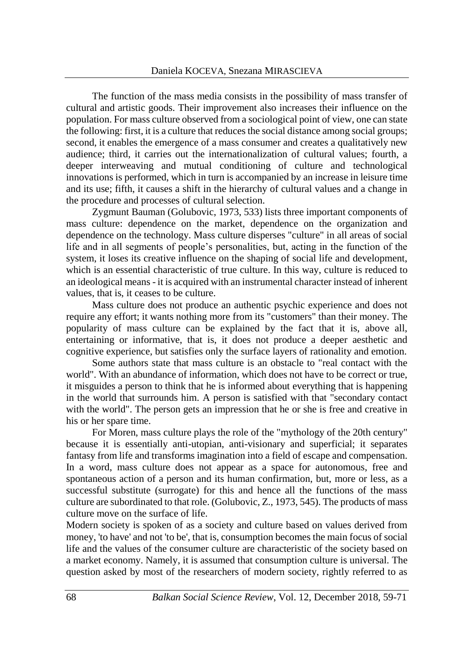The function of the mass media consists in the possibility of mass transfer of cultural and artistic goods. Their improvement also increases their influence on the population. For mass culture observed from a sociological point of view, one can state the following: first, it is a culture that reduces the social distance among social groups; second, it enables the emergence of a mass consumer and creates a qualitatively new audience; third, it carries out the internationalization of cultural values; fourth, a deeper interweaving and mutual conditioning of culture and technological innovations is performed, which in turn is accompanied by an increase in leisure time and its use; fifth, it causes a shift in the hierarchy of cultural values and a change in the procedure and processes of cultural selection.

Zygmunt Bauman (Golubovic, 1973, 533) lists three important components of mass culture: dependence on the market, dependence on the organization and dependence on the technology. Mass culture disperses "culture" in all areas of social life and in all segments of people's personalities, but, acting in the function of the system, it loses its creative influence on the shaping of social life and development, which is an essential characteristic of true culture. In this way, culture is reduced to an ideological means - it is acquired with an instrumental character instead of inherent values, that is, it ceases to be culture.

Mass culture does not produce an authentic psychic experience and does not require any effort; it wants nothing more from its "customers" than their money. The popularity of mass culture can be explained by the fact that it is, above all, entertaining or informative, that is, it does not produce a deeper aesthetic and cognitive experience, but satisfies only the surface layers of rationality and emotion.

Some authors state that mass culture is an obstacle to "real contact with the world". With an abundance of information, which does not have to be correct or true, it misguides a person to think that he is informed about everything that is happening in the world that surrounds him. A person is satisfied with that "secondary contact with the world". The person gets an impression that he or she is free and creative in his or her spare time.

For Moren, mass culture plays the role of the "mythology of the 20th century" because it is essentially anti-utopian, anti-visionary and superficial; it separates fantasy from life and transforms imagination into a field of escape and compensation. In a word, mass culture does not appear as a space for autonomous, free and spontaneous action of a person and its human confirmation, but, more or less, as a successful substitute (surrogate) for this and hence all the functions of the mass culture are subordinated to that role. (Golubovic, Z., 1973, 545). The products of mass culture move on the surface of life.

Modern society is spoken of as a society and culture based on values derived from money, 'to have' and not 'to be', that is, consumption becomes the main focus of social life and the values of the consumer culture are characteristic of the society based on a market economy. Namely, it is assumed that consumption culture is universal. The question asked by most of the researchers of modern society, rightly referred to as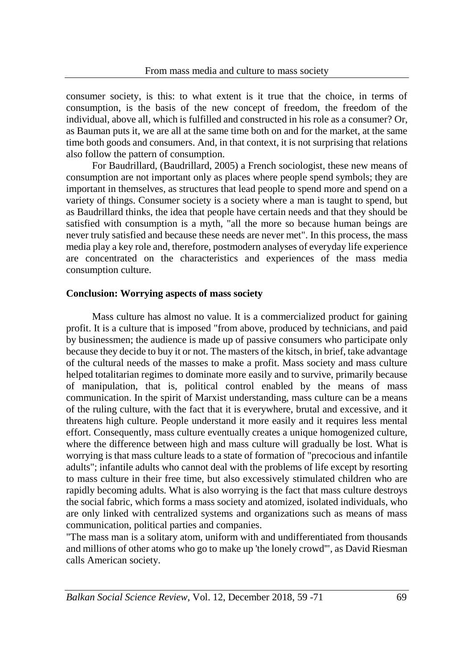consumer society, is this: to what extent is it true that the choice, in terms of consumption, is the basis of the new concept of freedom, the freedom of the individual, above all, which is fulfilled and constructed in his role as a consumer? Or, as Bauman puts it, we are all at the same time both on and for the market, at the same time both goods and consumers. And, in that context, it is not surprising that relations also follow the pattern of consumption.

For Baudrillard, (Baudrillard, 2005) a French sociologist, these new means of consumption are not important only as places where people spend symbols; they are important in themselves, as structures that lead people to spend more and spend on a variety of things. Consumer society is a society where a man is taught to spend, but as Baudrillard thinks, the idea that people have certain needs and that they should be satisfied with consumption is a myth, "all the more so because human beings are never truly satisfied and because these needs are never met". In this process, the mass media play a key role and, therefore, postmodern analyses of everyday life experience are concentrated on the characteristics and experiences of the mass media consumption culture.

# **Conclusion: Worrying aspects of mass society**

Mass culture has almost no value. It is a commercialized product for gaining profit. It is a culture that is imposed "from above, produced by technicians, and paid by businessmen; the audience is made up of passive consumers who participate only because they decide to buy it or not. The masters of the kitsch, in brief, take advantage of the cultural needs of the masses to make a profit. Mass society and mass culture helped totalitarian regimes to dominate more easily and to survive, primarily because of manipulation, that is, political control enabled by the means of mass communication. In the spirit of Marxist understanding, mass culture can be a means of the ruling culture, with the fact that it is everywhere, brutal and excessive, and it threatens high culture. People understand it more easily and it requires less mental effort. Consequently, mass culture eventually creates a unique homogenized culture, where the difference between high and mass culture will gradually be lost. What is worrying is that mass culture leads to a state of formation of "precocious and infantile adults"; infantile adults who cannot deal with the problems of life except by resorting to mass culture in their free time, but also excessively stimulated children who are rapidly becoming adults. What is also worrying is the fact that mass culture destroys the social fabric, which forms a mass society and atomized, isolated individuals, who are only linked with centralized systems and organizations such as means of mass communication, political parties and companies.

"The mass man is a solitary atom, uniform with and undifferentiated from thousands and millions of other atoms who go to make up 'the lonely crowd'", as David Riesman calls American society.